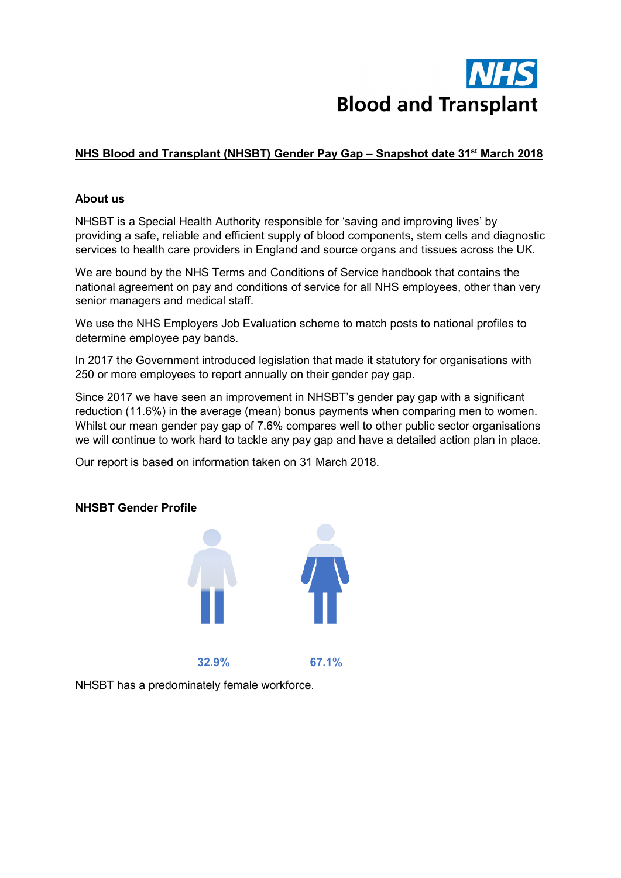

# **NHS Blood and Transplant (NHSBT) Gender Pay Gap – Snapshot date 31st March 2018**

#### **About us**

NHSBT is a Special Health Authority responsible for 'saving and improving lives' by providing a safe, reliable and efficient supply of blood components, stem cells and diagnostic services to health care providers in England and source organs and tissues across the UK.

We are bound by the NHS Terms and Conditions of Service handbook that contains the national agreement on pay and conditions of service for all NHS employees, other than very senior managers and medical staff.

We use the NHS Employers Job Evaluation scheme to match posts to national profiles to determine employee pay bands.

In 2017 the Government introduced legislation that made it statutory for organisations with 250 or more employees to report annually on their gender pay gap.

Since 2017 we have seen an improvement in NHSBT's gender pay gap with a significant reduction (11.6%) in the average (mean) bonus payments when comparing men to women. Whilst our mean gender pay gap of 7.6% compares well to other public sector organisations we will continue to work hard to tackle any pay gap and have a detailed action plan in place.

Our report is based on information taken on 31 March 2018.

#### **NHSBT Gender Profile**



NHSBT has a predominately female workforce.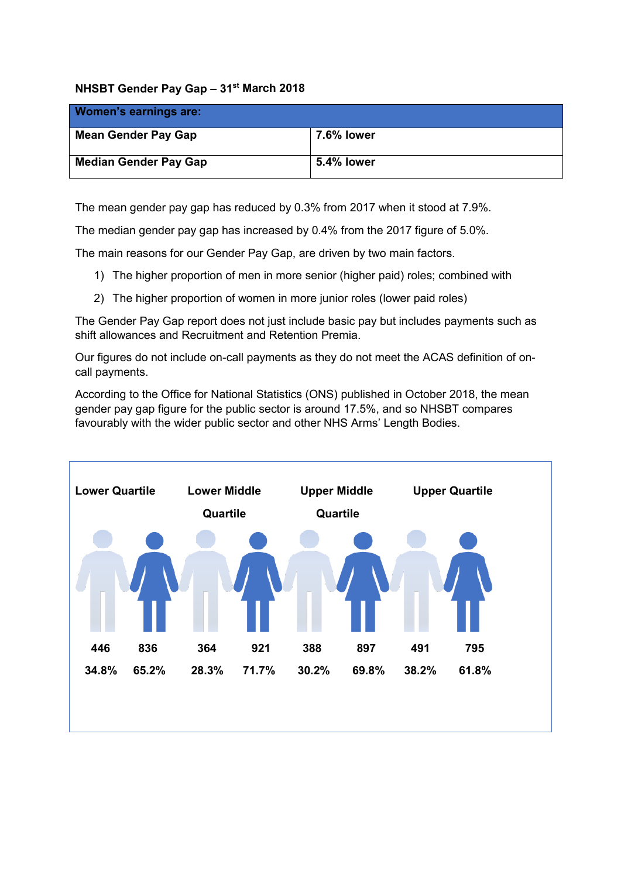### **NHSBT Gender Pay Gap – 31st March 2018**

| <b>Women's earnings are:</b> |                   |
|------------------------------|-------------------|
| <b>Mean Gender Pay Gap</b>   | <b>7.6% lower</b> |
| <b>Median Gender Pay Gap</b> | 5.4% lower        |

The mean gender pay gap has reduced by 0.3% from 2017 when it stood at 7.9%.

The median gender pay gap has increased by 0.4% from the 2017 figure of 5.0%.

The main reasons for our Gender Pay Gap, are driven by two main factors.

- 1) The higher proportion of men in more senior (higher paid) roles; combined with
- 2) The higher proportion of women in more junior roles (lower paid roles)

The Gender Pay Gap report does not just include basic pay but includes payments such as shift allowances and Recruitment and Retention Premia.

Our figures do not include on-call payments as they do not meet the ACAS definition of oncall payments.

According to the Office for National Statistics (ONS) published in October 2018, the mean gender pay gap figure for the public sector is around 17.5%, and so NHSBT compares favourably with the wider public sector and other NHS Arms' Length Bodies.

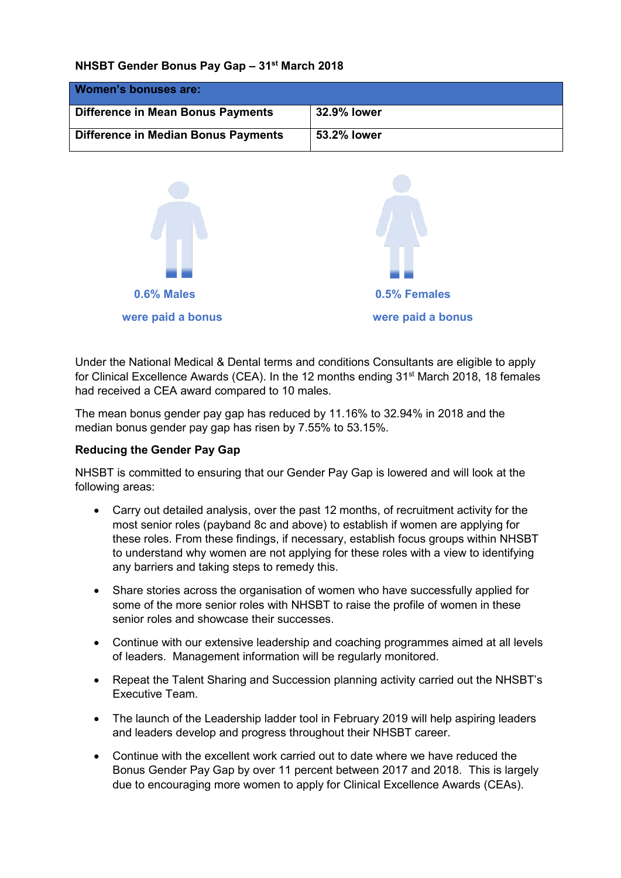#### **NHSBT Gender Bonus Pay Gap – 31st March 2018**

| <b>Women's bonuses are:</b>              |             |
|------------------------------------------|-------------|
| <b>Difference in Mean Bonus Payments</b> | 32.9% lower |
| Difference in Median Bonus Payments      | 53.2% lower |



Under the National Medical & Dental terms and conditions Consultants are eligible to apply for Clinical Excellence Awards (CEA). In the 12 months ending 31<sup>st</sup> March 2018, 18 females had received a CEA award compared to 10 males.

The mean bonus gender pay gap has reduced by 11.16% to 32.94% in 2018 and the median bonus gender pay gap has risen by 7.55% to 53.15%.

## **Reducing the Gender Pay Gap**

NHSBT is committed to ensuring that our Gender Pay Gap is lowered and will look at the following areas:

- Carry out detailed analysis, over the past 12 months, of recruitment activity for the most senior roles (payband 8c and above) to establish if women are applying for these roles. From these findings, if necessary, establish focus groups within NHSBT to understand why women are not applying for these roles with a view to identifying any barriers and taking steps to remedy this.
- Share stories across the organisation of women who have successfully applied for some of the more senior roles with NHSBT to raise the profile of women in these senior roles and showcase their successes.
- Continue with our extensive leadership and coaching programmes aimed at all levels of leaders. Management information will be regularly monitored.
- Repeat the Talent Sharing and Succession planning activity carried out the NHSBT's Executive Team.
- The launch of the Leadership ladder tool in February 2019 will help aspiring leaders and leaders develop and progress throughout their NHSBT career.
- Continue with the excellent work carried out to date where we have reduced the Bonus Gender Pay Gap by over 11 percent between 2017 and 2018. This is largely due to encouraging more women to apply for Clinical Excellence Awards (CEAs).